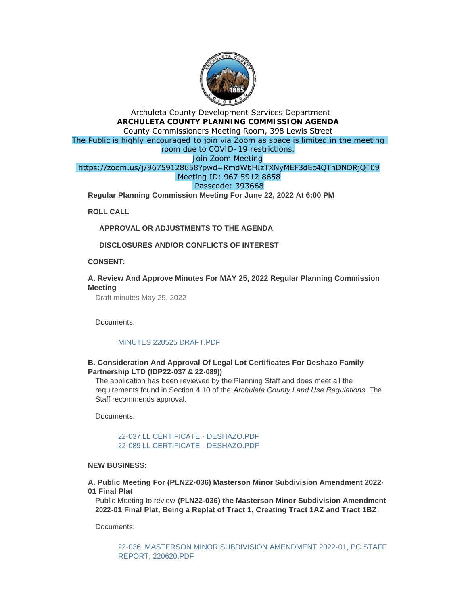

# Archuleta County Development Services Department **ARCHULETA COUNTY PLANNING COMMISSION AGENDA** County Commissioners Meeting Room, 398 Lewis Street The Public is highly encouraged to join via Zoom as space is limited in the meeting room due to COVID-19 restrictions. Join Zoom Meeting https://zoom.us/j/96759128658?pwd=RmdWbHIzTXNyMEF3dEc4QThDNDRjQT09 Meeting ID: 967 5912 8658 Passcode: 393668

**Regular Planning Commission Meeting For June 22, 2022 At 6:00 PM** 

**ROLL CALL**

**APPROVAL OR ADJUSTMENTS TO THE AGENDA**

**DISCLOSURES AND/OR CONFLICTS OF INTEREST**

**CONSENT:**

## **A. Review And Approve Minutes For MAY 25, 2022 Regular Planning Commission Meeting**

Draft minutes May 25, 2022

Documents:

## [MINUTES 220525 DRAFT.PDF](http://www.archuletacounty.org/AgendaCenter/ViewFile/Item/10699?fileID=8363)

## **B. Consideration And Approval Of Legal Lot Certificates For Deshazo Family Partnership LTD (IDP22-037 & 22-089))**

The application has been reviewed by the Planning Staff and does meet all the requirements found in Section 4.10 of the *Archuleta County Land Use Regulations.* The Staff recommends approval.

Documents:

[22-037 LL CERTIFICATE - DESHAZO.PDF](http://www.archuletacounty.org/AgendaCenter/ViewFile/Item/10700?fileID=8364) [22-089 LL CERTIFICATE - DESHAZO.PDF](http://www.archuletacounty.org/AgendaCenter/ViewFile/Item/10700?fileID=8365)

#### **NEW BUSINESS:**

**A. Public Meeting For (PLN22-036) Masterson Minor Subdivision Amendment 2022- 01 Final Plat** 

Public Meeting to review **(PLN22-036) the Masterson Minor Subdivision Amendment 2022-01 Final Plat, Being a Replat of Tract 1, Creating Tract 1AZ and Tract 1BZ.**

Documents:

[22-036, MASTERSON MINOR SUBDIVISION AMENDMENT 2022-01, PC STAFF](http://www.archuletacounty.org/AgendaCenter/ViewFile/Item/10706?fileID=8368)  REPORT, 220620.PDF